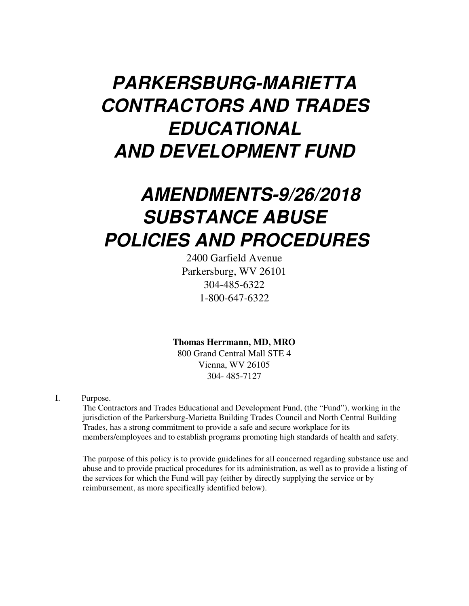# **PARKERSBURG-MARIETTA CONTRACTORS AND TRADES EDUCATIONAL AND DEVELOPMENT FUND**

# **AMENDMENTS-9/26/2018 SUBSTANCE ABUSE POLICIES AND PROCEDURES**

2400 Garfield Avenue Parkersburg, WV 26101 304-485-6322 1-800-647-6322

**Thomas Herrmann, MD, MRO** 

800 Grand Central Mall STE 4 Vienna, WV 26105 304- 485-7127

I. Purpose.

The Contractors and Trades Educational and Development Fund, (the "Fund"), working in the jurisdiction of the Parkersburg-Marietta Building Trades Council and North Central Building Trades, has a strong commitment to provide a safe and secure workplace for its members/employees and to establish programs promoting high standards of health and safety.

The purpose of this policy is to provide guidelines for all concerned regarding substance use and abuse and to provide practical procedures for its administration, as well as to provide a listing of the services for which the Fund will pay (either by directly supplying the service or by reimbursement, as more specifically identified below).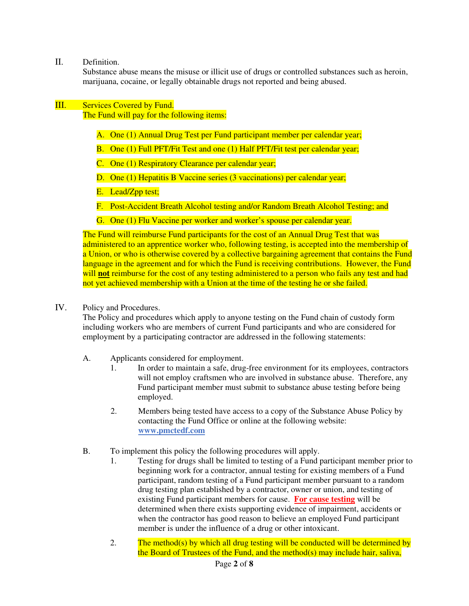II. Definition.

Substance abuse means the misuse or illicit use of drugs or controlled substances such as heroin, marijuana, cocaine, or legally obtainable drugs not reported and being abused.

## III. Services Covered by Fund.

The Fund will pay for the following items:

- A. One (1) Annual Drug Test per Fund participant member per calendar year;
- B. One (1) Full PFT/Fit Test and one (1) Half PFT/Fit test per calendar year;
- C. One (1) Respiratory Clearance per calendar year;
- D. One (1) Hepatitis B Vaccine series (3 vaccinations) per calendar year;
- E. Lead/Zpp test;
- F. Post-Accident Breath Alcohol testing and/or Random Breath Alcohol Testing; and
- G. One (1) Flu Vaccine per worker and worker's spouse per calendar year.

The Fund will reimburse Fund participants for the cost of an Annual Drug Test that was administered to an apprentice worker who, following testing, is accepted into the membership of a Union, or who is otherwise covered by a collective bargaining agreement that contains the Fund language in the agreement and for which the Fund is receiving contributions. However, the Fund will **not** reimburse for the cost of any testing administered to a person who fails any test and had not yet achieved membership with a Union at the time of the testing he or she failed.

#### IV. Policy and Procedures.

The Policy and procedures which apply to anyone testing on the Fund chain of custody form including workers who are members of current Fund participants and who are considered for employment by a participating contractor are addressed in the following statements:

- A. Applicants considered for employment.
	- 1. In order to maintain a safe, drug-free environment for its employees, contractors will not employ craftsmen who are involved in substance abuse. Therefore, any Fund participant member must submit to substance abuse testing before being employed.
	- 2. Members being tested have access to a copy of the Substance Abuse Policy by contacting the Fund Office or online at the following website: **www.pmctedf.com**
- B. To implement this policy the following procedures will apply.
	- 1. Testing for drugs shall be limited to testing of a Fund participant member prior to beginning work for a contractor, annual testing for existing members of a Fund participant, random testing of a Fund participant member pursuant to a random drug testing plan established by a contractor, owner or union, and testing of existing Fund participant members for cause. **For cause testing** will be determined when there exists supporting evidence of impairment, accidents or when the contractor has good reason to believe an employed Fund participant member is under the influence of a drug or other intoxicant.
	- 2. The method(s) by which all drug testing will be conducted will be determined by the Board of Trustees of the Fund, and the method(s) may include hair, saliva,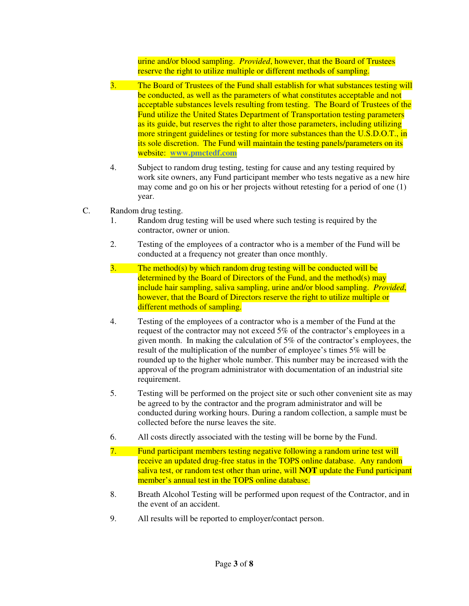urine and/or blood sampling. *Provided*, however, that the Board of Trustees reserve the right to utilize multiple or different methods of sampling.

- 3. The Board of Trustees of the Fund shall establish for what substances testing will be conducted, as well as the parameters of what constitutes acceptable and not acceptable substances levels resulting from testing. The Board of Trustees of the Fund utilize the United States Department of Transportation testing parameters as its guide, but reserves the right to alter those parameters, including utilizing more stringent guidelines or testing for more substances than the U.S.D.O.T., in its sole discretion. The Fund will maintain the testing panels/parameters on its website: **www.pmctedf.com**
- 4. Subject to random drug testing, testing for cause and any testing required by work site owners, any Fund participant member who tests negative as a new hire may come and go on his or her projects without retesting for a period of one (1) year.
- C. Random drug testing.
	- 1. Random drug testing will be used where such testing is required by the contractor, owner or union.
	- 2. Testing of the employees of a contractor who is a member of the Fund will be conducted at a frequency not greater than once monthly.
	- 3. The method(s) by which random drug testing will be conducted will be determined by the Board of Directors of the Fund, and the method(s) may include hair sampling, saliva sampling, urine and/or blood sampling. *Provided*, however, that the Board of Directors reserve the right to utilize multiple or different methods of sampling.
	- 4. Testing of the employees of a contractor who is a member of the Fund at the request of the contractor may not exceed 5% of the contractor's employees in a given month. In making the calculation of 5% of the contractor's employees, the result of the multiplication of the number of employee's times 5% will be rounded up to the higher whole number. This number may be increased with the approval of the program administrator with documentation of an industrial site requirement.
	- 5. Testing will be performed on the project site or such other convenient site as may be agreed to by the contractor and the program administrator and will be conducted during working hours. During a random collection, a sample must be collected before the nurse leaves the site.
	- 6. All costs directly associated with the testing will be borne by the Fund.
	- 7. Fund participant members testing negative following a random urine test will receive an updated drug-free status in the TOPS online database. Any random saliva test, or random test other than urine, will **NOT** update the Fund participant member's annual test in the TOPS online database.
	- 8. Breath Alcohol Testing will be performed upon request of the Contractor, and in the event of an accident.
	- 9. All results will be reported to employer/contact person.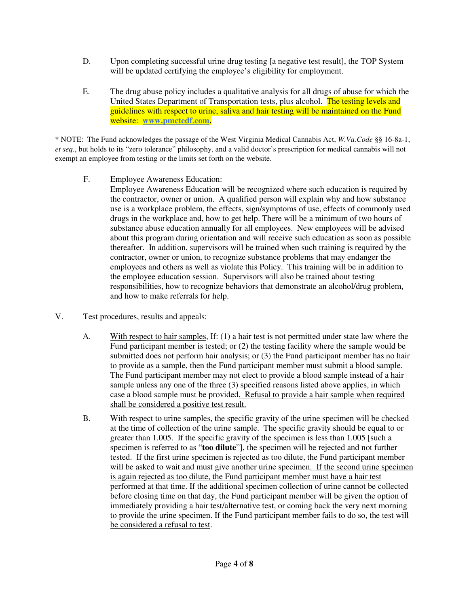- D. Upon completing successful urine drug testing [a negative test result], the TOP System will be updated certifying the employee's eligibility for employment.
- E. The drug abuse policy includes a qualitative analysis for all drugs of abuse for which the United States Department of Transportation tests, plus alcohol. The testing levels and guidelines with respect to urine, saliva and hair testing will be maintained on the Fund website: **www.pmctedf.com.**

\* NOTE: The Fund acknowledges the passage of the West Virginia Medical Cannabis Act, *W.Va.Code* §§ 16-8a-1, *et seq*., but holds to its "zero tolerance" philosophy, and a valid doctor's prescription for medical cannabis will not exempt an employee from testing or the limits set forth on the website.

**F.** Employee Awareness Education:

Employee Awareness Education will be recognized where such education is required by the contractor, owner or union. A qualified person will explain why and how substance use is a workplace problem, the effects, sign/symptoms of use, effects of commonly used drugs in the workplace and, how to get help. There will be a minimum of two hours of substance abuse education annually for all employees. New employees will be advised about this program during orientation and will receive such education as soon as possible thereafter. In addition, supervisors will be trained when such training is required by the contractor, owner or union, to recognize substance problems that may endanger the employees and others as well as violate this Policy. This training will be in addition to the employee education session. Supervisors will also be trained about testing responsibilities, how to recognize behaviors that demonstrate an alcohol/drug problem, and how to make referrals for help.

- V. Test procedures, results and appeals:
	- A. With respect to hair samples, If: (1) a hair test is not permitted under state law where the Fund participant member is tested; or (2) the testing facility where the sample would be submitted does not perform hair analysis; or (3) the Fund participant member has no hair to provide as a sample, then the Fund participant member must submit a blood sample. The Fund participant member may not elect to provide a blood sample instead of a hair sample unless any one of the three (3) specified reasons listed above applies, in which case a blood sample must be provided. Refusal to provide a hair sample when required shall be considered a positive test result.
	- B. With respect to urine samples, the specific gravity of the urine specimen will be checked at the time of collection of the urine sample. The specific gravity should be equal to or greater than 1.005. If the specific gravity of the specimen is less than 1.005 [such a specimen is referred to as "**too dilute**"], the specimen will be rejected and not further tested. If the first urine specimen is rejected as too dilute, the Fund participant member will be asked to wait and must give another urine specimen. If the second urine specimen is again rejected as too dilute, the Fund participant member must have a hair test performed at that time. If the additional specimen collection of urine cannot be collected before closing time on that day, the Fund participant member will be given the option of immediately providing a hair test/alternative test, or coming back the very next morning to provide the urine specimen. If the Fund participant member fails to do so, the test will be considered a refusal to test.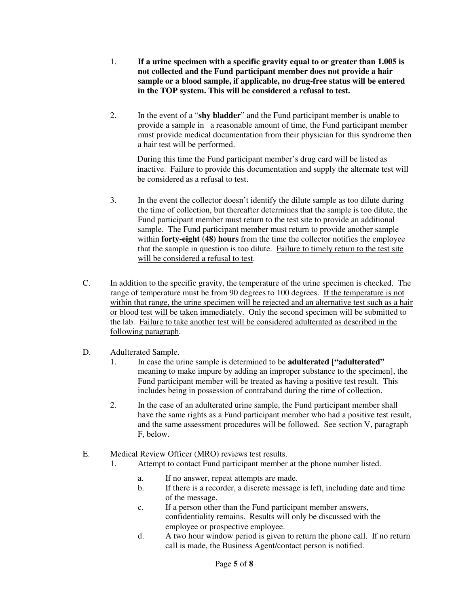- 1. **If a urine specimen with a specific gravity equal to or greater than 1.005 is not collected and the Fund participant member does not provide a hair sample or a blood sample, if applicable, no drug-free status will be entered in the TOP system. This will be considered a refusal to test.**
- 2. In the event of a "**shy bladder**" and the Fund participant member is unable to provide a sample in a reasonable amount of time, the Fund participant member must provide medical documentation from their physician for this syndrome then a hair test will be performed.

During this time the Fund participant member's drug card will be listed as inactive. Failure to provide this documentation and supply the alternate test will be considered as a refusal to test.

- 3. In the event the collector doesn't identify the dilute sample as too dilute during the time of collection, but thereafter determines that the sample is too dilute, the Fund participant member must return to the test site to provide an additional sample. The Fund participant member must return to provide another sample within **forty-eight (48) hours** from the time the collector notifies the employee that the sample in question is too dilute. Failure to timely return to the test site will be considered a refusal to test.
- C. In addition to the specific gravity, the temperature of the urine specimen is checked. The range of temperature must be from 90 degrees to 100 degrees. If the temperature is not within that range, the urine specimen will be rejected and an alternative test such as a hair or blood test will be taken immediately. Only the second specimen will be submitted to the lab. Failure to take another test will be considered adulterated as described in the following paragraph.

### D. Adulterated Sample.

- 1. In case the urine sample is determined to be **adulterated ["adulterated"**  meaning to make impure by adding an improper substance to the specimen], the Fund participant member will be treated as having a positive test result. This includes being in possession of contraband during the time of collection.
- 2. In the case of an adulterated urine sample, the Fund participant member shall have the same rights as a Fund participant member who had a positive test result, and the same assessment procedures will be followed. See section V, paragraph F, below.

### E. Medical Review Officer (MRO) reviews test results.

- 1. Attempt to contact Fund participant member at the phone number listed.
	- a. If no answer, repeat attempts are made.
	- b. If there is a recorder, a discrete message is left, including date and time of the message.
	- c. If a person other than the Fund participant member answers, confidentiality remains. Results will only be discussed with the employee or prospective employee.
	- d. A two hour window period is given to return the phone call. If no return call is made, the Business Agent/contact person is notified.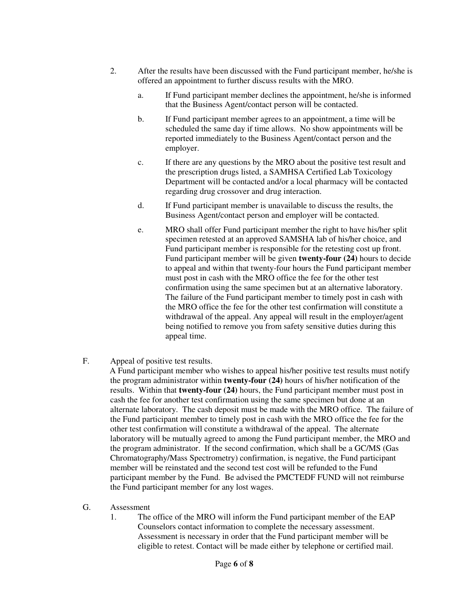- 2. After the results have been discussed with the Fund participant member, he/she is offered an appointment to further discuss results with the MRO.
	- a. If Fund participant member declines the appointment, he/she is informed that the Business Agent/contact person will be contacted.
	- b. If Fund participant member agrees to an appointment, a time will be scheduled the same day if time allows. No show appointments will be reported immediately to the Business Agent/contact person and the employer.
	- c. If there are any questions by the MRO about the positive test result and the prescription drugs listed, a SAMHSA Certified Lab Toxicology Department will be contacted and/or a local pharmacy will be contacted regarding drug crossover and drug interaction.
	- d. If Fund participant member is unavailable to discuss the results, the Business Agent/contact person and employer will be contacted.
	- e. MRO shall offer Fund participant member the right to have his/her split specimen retested at an approved SAMSHA lab of his/her choice, and Fund participant member is responsible for the retesting cost up front. Fund participant member will be given **twenty-four (24)** hours to decide to appeal and within that twenty-four hours the Fund participant member must post in cash with the MRO office the fee for the other test confirmation using the same specimen but at an alternative laboratory. The failure of the Fund participant member to timely post in cash with the MRO office the fee for the other test confirmation will constitute a withdrawal of the appeal. Any appeal will result in the employer/agent being notified to remove you from safety sensitive duties during this appeal time.
- F. Appeal of positive test results.

A Fund participant member who wishes to appeal his/her positive test results must notify the program administrator within **twenty-four (24)** hours of his/her notification of the results. Within that **twenty-four (24)** hours, the Fund participant member must post in cash the fee for another test confirmation using the same specimen but done at an alternate laboratory. The cash deposit must be made with the MRO office. The failure of the Fund participant member to timely post in cash with the MRO office the fee for the other test confirmation will constitute a withdrawal of the appeal. The alternate laboratory will be mutually agreed to among the Fund participant member, the MRO and the program administrator. If the second confirmation, which shall be a GC/MS (Gas Chromatography/Mass Spectrometry) confirmation, is negative, the Fund participant member will be reinstated and the second test cost will be refunded to the Fund participant member by the Fund. Be advised the PMCTEDF FUND will not reimburse the Fund participant member for any lost wages.

- G. Assessment
	- 1. The office of the MRO will inform the Fund participant member of the EAP Counselors contact information to complete the necessary assessment. Assessment is necessary in order that the Fund participant member will be eligible to retest. Contact will be made either by telephone or certified mail.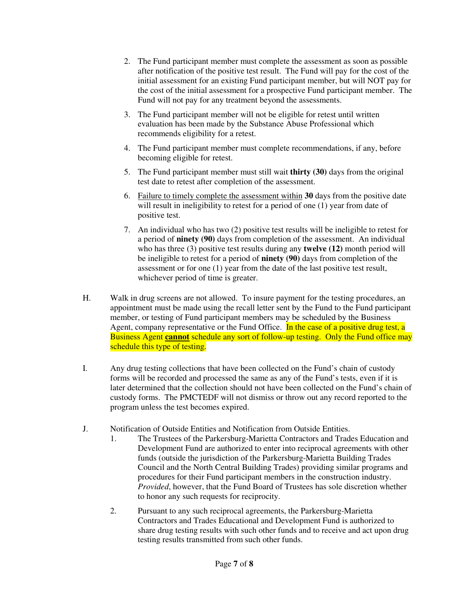- 2. The Fund participant member must complete the assessment as soon as possible after notification of the positive test result. The Fund will pay for the cost of the initial assessment for an existing Fund participant member, but will NOT pay for the cost of the initial assessment for a prospective Fund participant member. The Fund will not pay for any treatment beyond the assessments.
- 3. The Fund participant member will not be eligible for retest until written evaluation has been made by the Substance Abuse Professional which recommends eligibility for a retest.
- 4. The Fund participant member must complete recommendations, if any, before becoming eligible for retest.
- 5. The Fund participant member must still wait **thirty (30)** days from the original test date to retest after completion of the assessment.
- 6. Failure to timely complete the assessment within **30** days from the positive date will result in ineligibility to retest for a period of one (1) year from date of positive test.
- 7. An individual who has two (2) positive test results will be ineligible to retest for a period of **ninety (90)** days from completion of the assessment. An individual who has three (3) positive test results during any **twelve (12)** month period will be ineligible to retest for a period of **ninety (90)** days from completion of the assessment or for one (1) year from the date of the last positive test result, whichever period of time is greater.
- H. Walk in drug screens are not allowed. To insure payment for the testing procedures, an appointment must be made using the recall letter sent by the Fund to the Fund participant member, or testing of Fund participant members may be scheduled by the Business Agent, company representative or the Fund Office. In the case of a positive drug test, a Business Agent **cannot** schedule any sort of follow-up testing. Only the Fund office may schedule this type of testing.
- I. Any drug testing collections that have been collected on the Fund's chain of custody forms will be recorded and processed the same as any of the Fund's tests, even if it is later determined that the collection should not have been collected on the Fund's chain of custody forms. The PMCTEDF will not dismiss or throw out any record reported to the program unless the test becomes expired.
- J. Notification of Outside Entities and Notification from Outside Entities.
	- 1. The Trustees of the Parkersburg-Marietta Contractors and Trades Education and Development Fund are authorized to enter into reciprocal agreements with other funds (outside the jurisdiction of the Parkersburg-Marietta Building Trades Council and the North Central Building Trades) providing similar programs and procedures for their Fund participant members in the construction industry. *Provided*, however, that the Fund Board of Trustees has sole discretion whether to honor any such requests for reciprocity.
	- 2. Pursuant to any such reciprocal agreements, the Parkersburg-Marietta Contractors and Trades Educational and Development Fund is authorized to share drug testing results with such other funds and to receive and act upon drug testing results transmitted from such other funds.